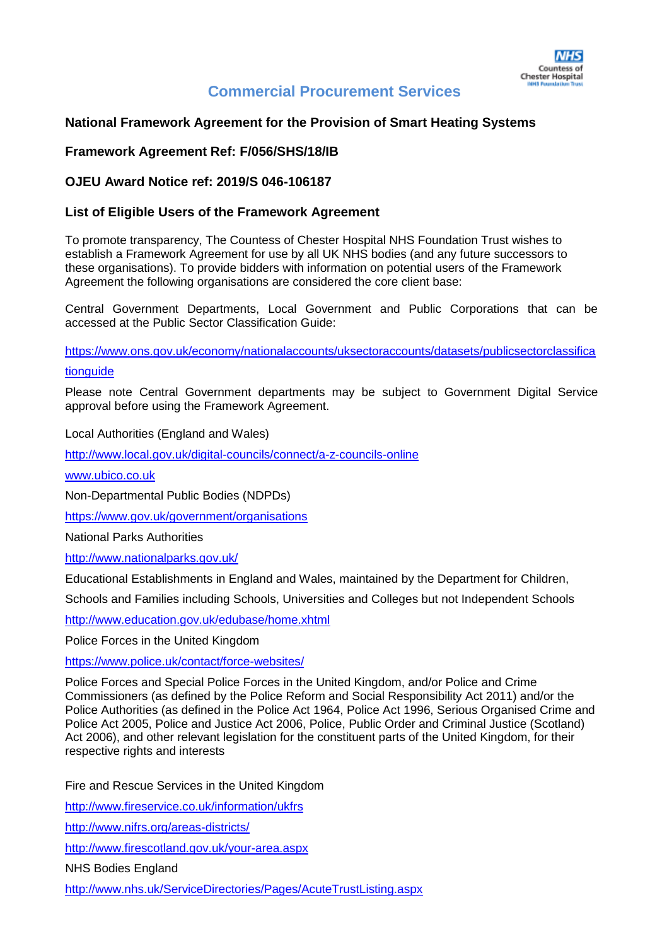## **National Framework Agreement for the Provision of Smart Heating Systems**

#### **Framework Agreement Ref: F/056/SHS/18/IB**

#### **OJEU Award Notice ref: 2019/S 046-106187**

#### **List of Eligible Users of the Framework Agreement**

To promote transparency, The Countess of Chester Hospital NHS Foundation Trust wishes to establish a Framework Agreement for use by all UK NHS bodies (and any future successors to these organisations). To provide bidders with information on potential users of the Framework Agreement the following organisations are considered the core client base:

Central Government Departments, Local Government and Public Corporations that can be accessed at the Public Sector Classification Guide:

[https://www.ons.gov.uk/economy/nationalaccounts/uksectoraccounts/datasets/publicsectorclassifica](https://www.ons.gov.uk/economy/nationalaccounts/uksectoraccounts/datasets/publicsectorclassificationguide) [tionguide](https://www.ons.gov.uk/economy/nationalaccounts/uksectoraccounts/datasets/publicsectorclassificationguide)

Please note Central Government departments may be subject to Government Digital Service approval before using the Framework Agreement.

Local Authorities (England and Wales)

<http://www.local.gov.uk/digital-councils/connect/a-z-councils-online>

[www.ubico.co.uk](http://www.ubico.co.uk/)

Non-Departmental Public Bodies (NDPDs)

<https://www.gov.uk/government/organisations>

National Parks Authorities

<http://www.nationalparks.gov.uk/>

Educational Establishments in England and Wales, maintained by the Department for Children,

Schools and Families including Schools, Universities and Colleges but not Independent Schools

<http://www.education.gov.uk/edubase/home.xhtml>

Police Forces in the United Kingdom

<https://www.police.uk/contact/force-websites/>

Police Forces and Special Police Forces in the United Kingdom, and/or Police and Crime Commissioners (as defined by the Police Reform and Social Responsibility Act 2011) and/or the Police Authorities (as defined in the Police Act 1964, Police Act 1996, Serious Organised Crime and Police Act 2005, Police and Justice Act 2006, Police, Public Order and Criminal Justice (Scotland) Act 2006), and other relevant legislation for the constituent parts of the United Kingdom, for their respective rights and interests

Fire and Rescue Services in the United Kingdom

<http://www.fireservice.co.uk/information/ukfrs>

<http://www.nifrs.org/areas-districts/>

<http://www.firescotland.gov.uk/your-area.aspx>

NHS Bodies England

<http://www.nhs.uk/ServiceDirectories/Pages/AcuteTrustListing.aspx>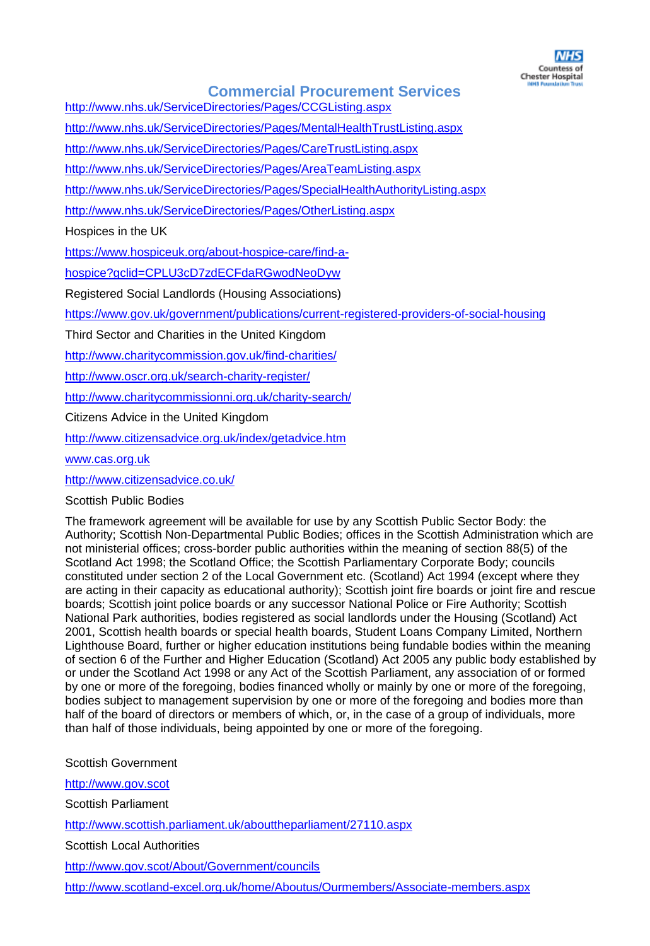

<http://www.nhs.uk/ServiceDirectories/Pages/CCGListing.aspx>

<http://www.nhs.uk/ServiceDirectories/Pages/MentalHealthTrustListing.aspx>

<http://www.nhs.uk/ServiceDirectories/Pages/CareTrustListing.aspx>

<http://www.nhs.uk/ServiceDirectories/Pages/AreaTeamListing.aspx>

<http://www.nhs.uk/ServiceDirectories/Pages/SpecialHealthAuthorityListing.aspx>

<http://www.nhs.uk/ServiceDirectories/Pages/OtherListing.aspx>

Hospices in the UK

[https://www.hospiceuk.org/about-hospice-care/find-a-](https://www.hospiceuk.org/about-hospice-care/find-a-hospice?gclid=CPLU3cD7zdECFdaRGwodNeoDyw)

[hospice?gclid=CPLU3cD7zdECFdaRGwodNeoDyw](https://www.hospiceuk.org/about-hospice-care/find-a-hospice?gclid=CPLU3cD7zdECFdaRGwodNeoDyw)

Registered Social Landlords (Housing Associations)

<https://www.gov.uk/government/publications/current-registered-providers-of-social-housing>

Third Sector and Charities in the United Kingdom

<http://www.charitycommission.gov.uk/find-charities/>

<http://www.oscr.org.uk/search-charity-register/>

<http://www.charitycommissionni.org.uk/charity-search/>

Citizens Advice in the United Kingdom

<http://www.citizensadvice.org.uk/index/getadvice.htm>

[www.cas.org.uk](http://www.cas.org.uk/)

<http://www.citizensadvice.co.uk/>

#### Scottish Public Bodies

The framework agreement will be available for use by any Scottish Public Sector Body: the Authority; Scottish Non-Departmental Public Bodies; offices in the Scottish Administration which are not ministerial offices; cross-border public authorities within the meaning of section 88(5) of the Scotland Act 1998; the Scotland Office; the Scottish Parliamentary Corporate Body; councils constituted under section 2 of the Local Government etc. (Scotland) Act 1994 (except where they are acting in their capacity as educational authority); Scottish joint fire boards or joint fire and rescue boards; Scottish joint police boards or any successor National Police or Fire Authority; Scottish National Park authorities, bodies registered as social landlords under the Housing (Scotland) Act 2001, Scottish health boards or special health boards, Student Loans Company Limited, Northern Lighthouse Board, further or higher education institutions being fundable bodies within the meaning of section 6 of the Further and Higher Education (Scotland) Act 2005 any public body established by or under the Scotland Act 1998 or any Act of the Scottish Parliament, any association of or formed by one or more of the foregoing, bodies financed wholly or mainly by one or more of the foregoing, bodies subject to management supervision by one or more of the foregoing and bodies more than half of the board of directors or members of which, or, in the case of a group of individuals, more than half of those individuals, being appointed by one or more of the foregoing.

Scottish Government

[http://www.gov.scot](http://www.gov.scot/) Scottish Parliament <http://www.scottish.parliament.uk/abouttheparliament/27110.aspx> Scottish Local Authorities <http://www.gov.scot/About/Government/councils>

<http://www.scotland-excel.org.uk/home/Aboutus/Ourmembers/Associate-members.aspx>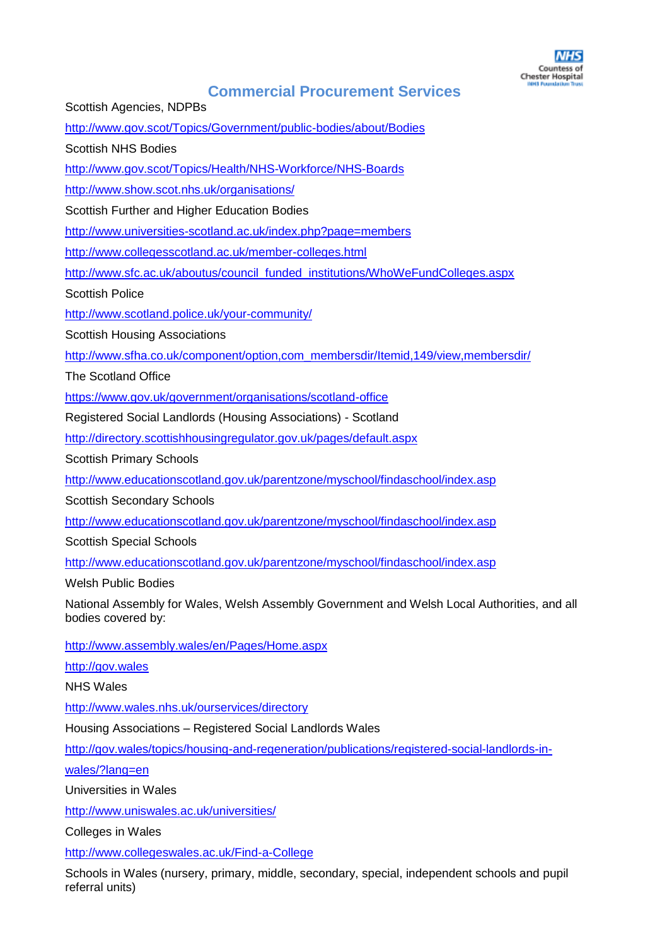Scottish Agencies, NDPBs

<http://www.gov.scot/Topics/Government/public-bodies/about/Bodies>

Scottish NHS Bodies

<http://www.gov.scot/Topics/Health/NHS-Workforce/NHS-Boards>

<http://www.show.scot.nhs.uk/organisations/>

Scottish Further and Higher Education Bodies

<http://www.universities-scotland.ac.uk/index.php?page=members>

<http://www.collegesscotland.ac.uk/member-colleges.html>

[http://www.sfc.ac.uk/aboutus/council\\_funded\\_institutions/WhoWeFundColleges.aspx](http://www.sfc.ac.uk/aboutus/council_funded_institutions/WhoWeFundColleges.aspx)

Scottish Police

<http://www.scotland.police.uk/your-community/>

Scottish Housing Associations

[http://www.sfha.co.uk/component/option,com\\_membersdir/Itemid,149/view,membersdir/](http://www.sfha.co.uk/component/option,com_membersdir/Itemid,149/view,membersdir/)

The Scotland Office

<https://www.gov.uk/government/organisations/scotland-office>

Registered Social Landlords (Housing Associations) - Scotland

<http://directory.scottishhousingregulator.gov.uk/pages/default.aspx>

Scottish Primary Schools

<http://www.educationscotland.gov.uk/parentzone/myschool/findaschool/index.asp>

Scottish Secondary Schools

<http://www.educationscotland.gov.uk/parentzone/myschool/findaschool/index.asp>

Scottish Special Schools

<http://www.educationscotland.gov.uk/parentzone/myschool/findaschool/index.asp>

Welsh Public Bodies

National Assembly for Wales, Welsh Assembly Government and Welsh Local Authorities, and all bodies covered by:

<http://www.assembly.wales/en/Pages/Home.aspx>

[http://gov.wales](http://gov.wales/)

NHS Wales

<http://www.wales.nhs.uk/ourservices/directory>

Housing Associations – Registered Social Landlords Wales

[http://gov.wales/topics/housing-and-regeneration/publications/registered-social-landlords-in-](http://gov.wales/topics/housing-and-regeneration/publications/registered-social-landlords-in-wales/?lang=en)

[wales/?lang=en](http://gov.wales/topics/housing-and-regeneration/publications/registered-social-landlords-in-wales/?lang=en)

Universities in Wales

<http://www.uniswales.ac.uk/universities/>

Colleges in Wales

<http://www.collegeswales.ac.uk/Find-a-College>

Schools in Wales (nursery, primary, middle, secondary, special, independent schools and pupil referral units)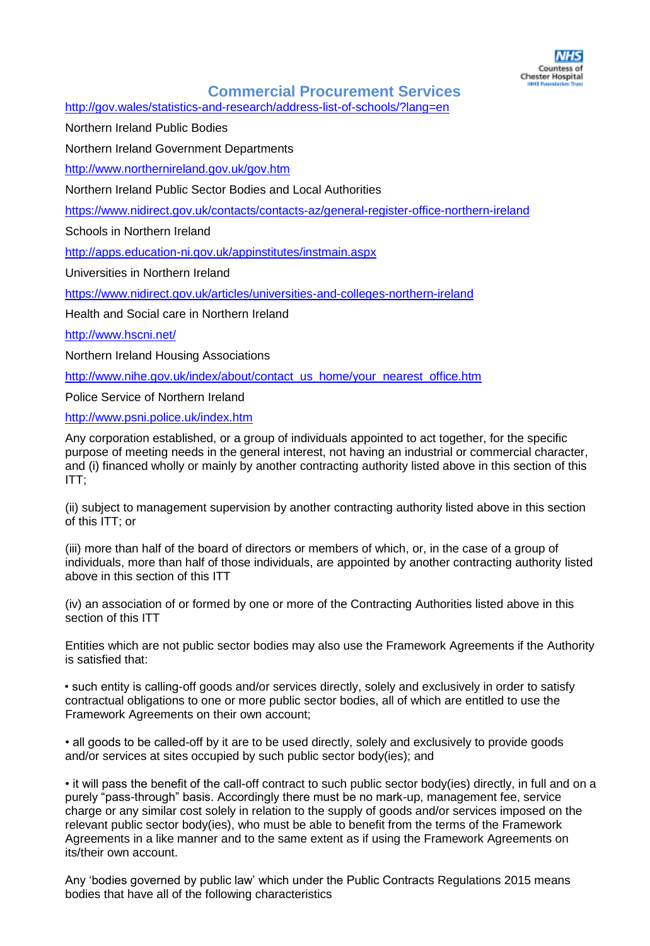

<http://gov.wales/statistics-and-research/address-list-of-schools/?lang=en>

Northern Ireland Public Bodies

Northern Ireland Government Departments

<http://www.northernireland.gov.uk/gov.htm>

Northern Ireland Public Sector Bodies and Local Authorities

<https://www.nidirect.gov.uk/contacts/contacts-az/general-register-office-northern-ireland>

Schools in Northern Ireland

<http://apps.education-ni.gov.uk/appinstitutes/instmain.aspx>

Universities in Northern Ireland

<https://www.nidirect.gov.uk/articles/universities-and-colleges-northern-ireland>

Health and Social care in Northern Ireland

<http://www.hscni.net/>

Northern Ireland Housing Associations

[http://www.nihe.gov.uk/index/about/contact\\_us\\_home/your\\_nearest\\_office.htm](http://www.nihe.gov.uk/index/about/contact_us_home/your_nearest_office.htm)

Police Service of Northern Ireland

<http://www.psni.police.uk/index.htm>

Any corporation established, or a group of individuals appointed to act together, for the specific purpose of meeting needs in the general interest, not having an industrial or commercial character, and (i) financed wholly or mainly by another contracting authority listed above in this section of this ITT;

(ii) subject to management supervision by another contracting authority listed above in this section of this ITT; or

(iii) more than half of the board of directors or members of which, or, in the case of a group of individuals, more than half of those individuals, are appointed by another contracting authority listed above in this section of this ITT

(iv) an association of or formed by one or more of the Contracting Authorities listed above in this section of this ITT

Entities which are not public sector bodies may also use the Framework Agreements if the Authority is satisfied that:

• such entity is calling-off goods and/or services directly, solely and exclusively in order to satisfy contractual obligations to one or more public sector bodies, all of which are entitled to use the Framework Agreements on their own account;

• all goods to be called-off by it are to be used directly, solely and exclusively to provide goods and/or services at sites occupied by such public sector body(ies); and

• it will pass the benefit of the call-off contract to such public sector body(ies) directly, in full and on a purely "pass-through" basis. Accordingly there must be no mark-up, management fee, service charge or any similar cost solely in relation to the supply of goods and/or services imposed on the relevant public sector body(ies), who must be able to benefit from the terms of the Framework Agreements in a like manner and to the same extent as if using the Framework Agreements on its/their own account.

Any 'bodies governed by public law' which under the Public Contracts Regulations 2015 means bodies that have all of the following characteristics